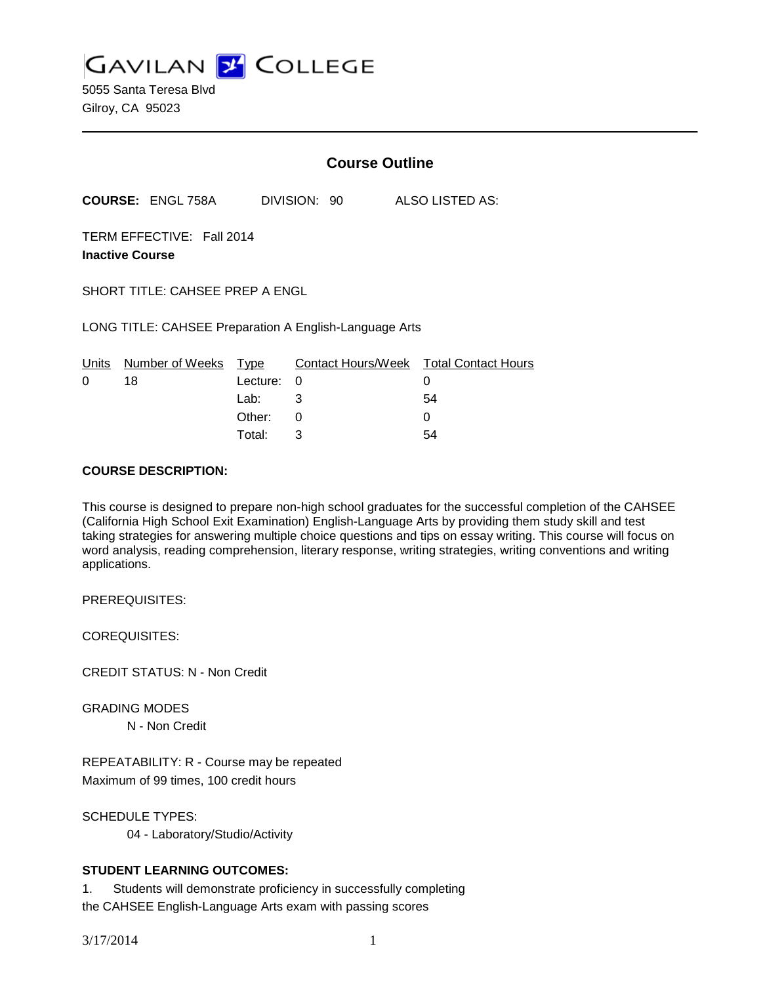**GAVILAN J COLLEGE** 

5055 Santa Teresa Blvd Gilroy, CA 95023

|                                                        |                          | <b>Course Outline</b> |   |              |  |                                        |  |
|--------------------------------------------------------|--------------------------|-----------------------|---|--------------|--|----------------------------------------|--|
|                                                        | <b>COURSE: ENGL 758A</b> |                       |   | DIVISION: 90 |  | ALSO LISTED AS:                        |  |
| TERM EFFECTIVE: Fall 2014<br><b>Inactive Course</b>    |                          |                       |   |              |  |                                        |  |
| SHORT TITLE: CAHSEE PREP A ENGL                        |                          |                       |   |              |  |                                        |  |
| LONG TITLE: CAHSEE Preparation A English-Language Arts |                          |                       |   |              |  |                                        |  |
| Units                                                  | Number of Weeks Type     |                       |   |              |  | Contact Hours/Week Total Contact Hours |  |
| 0                                                      | 18                       | Lecture:              | 0 |              |  | 0                                      |  |
|                                                        |                          | Lab:                  | 3 |              |  | 54                                     |  |
|                                                        |                          | Other:                | 0 |              |  |                                        |  |
|                                                        |                          |                       |   |              |  |                                        |  |

Total: 3 54

#### **COURSE DESCRIPTION:**

This course is designed to prepare non-high school graduates for the successful completion of the CAHSEE (California High School Exit Examination) English-Language Arts by providing them study skill and test taking strategies for answering multiple choice questions and tips on essay writing. This course will focus on word analysis, reading comprehension, literary response, writing strategies, writing conventions and writing applications.

PREREQUISITES:

COREQUISITES:

CREDIT STATUS: N - Non Credit

GRADING MODES N - Non Credit

REPEATABILITY: R - Course may be repeated Maximum of 99 times, 100 credit hours

SCHEDULE TYPES: 04 - Laboratory/Studio/Activity

### **STUDENT LEARNING OUTCOMES:**

1. Students will demonstrate proficiency in successfully completing the CAHSEE English-Language Arts exam with passing scores

3/17/2014 1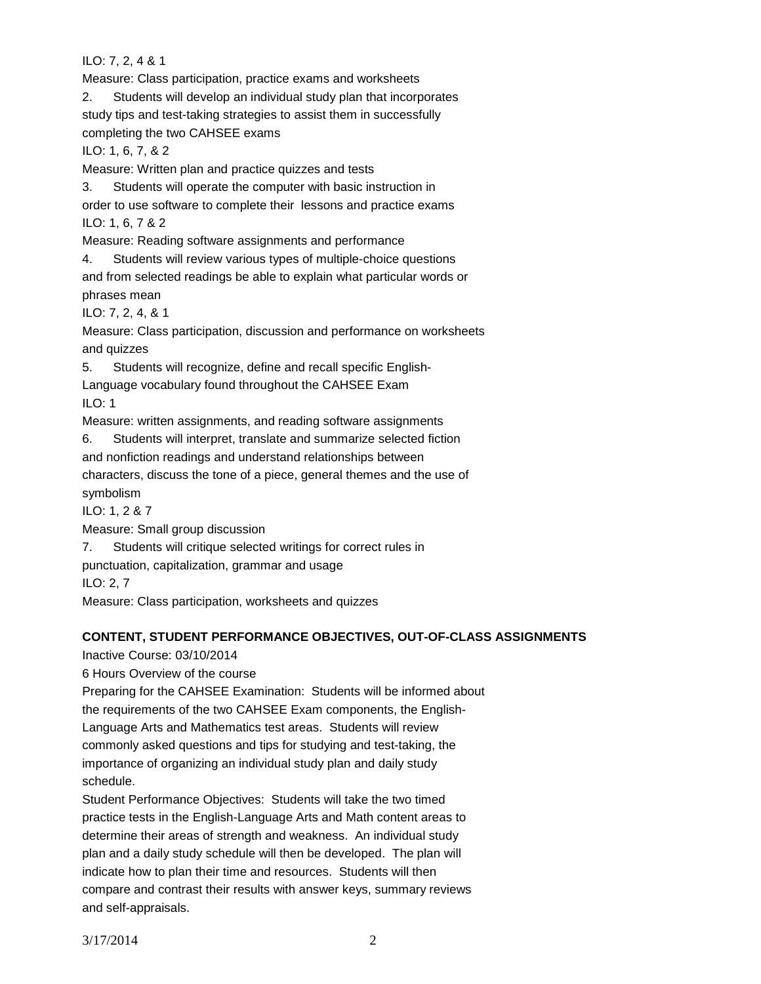ILO: 7, 2, 4 & 1

Measure: Class participation, practice exams and worksheets

2. Students will develop an individual study plan that incorporates study tips and test-taking strategies to assist them in successfully completing the two CAHSEE exams

ILO: 1, 6, 7, & 2

Measure: Written plan and practice quizzes and tests

3. Students will operate the computer with basic instruction in

order to use software to complete their lessons and practice exams ILO: 1, 6, 7 & 2

Measure: Reading software assignments and performance

4. Students will review various types of multiple-choice questions and from selected readings be able to explain what particular words or phrases mean

ILO: 7, 2, 4, & 1

Measure: Class participation, discussion and performance on worksheets and quizzes

5. Students will recognize, define and recall specific English-

Language vocabulary found throughout the CAHSEE Exam

ILO: 1

Measure: written assignments, and reading software assignments

6. Students will interpret, translate and summarize selected fiction and nonfiction readings and understand relationships between characters, discuss the tone of a piece, general themes and the use of symbolism ILO: 1, 2 & 7

Measure: Small group discussion

7. Students will critique selected writings for correct rules in

punctuation, capitalization, grammar and usage

ILO: 2, 7

Measure: Class participation, worksheets and quizzes

# **CONTENT, STUDENT PERFORMANCE OBJECTIVES, OUT-OF-CLASS ASSIGNMENTS**

Inactive Course: 03/10/2014

6 Hours Overview of the course

Preparing for the CAHSEE Examination: Students will be informed about the requirements of the two CAHSEE Exam components, the English-Language Arts and Mathematics test areas. Students will review commonly asked questions and tips for studying and test-taking, the importance of organizing an individual study plan and daily study schedule.

Student Performance Objectives: Students will take the two timed practice tests in the English-Language Arts and Math content areas to determine their areas of strength and weakness. An individual study plan and a daily study schedule will then be developed. The plan will indicate how to plan their time and resources. Students will then compare and contrast their results with answer keys, summary reviews and self-appraisals.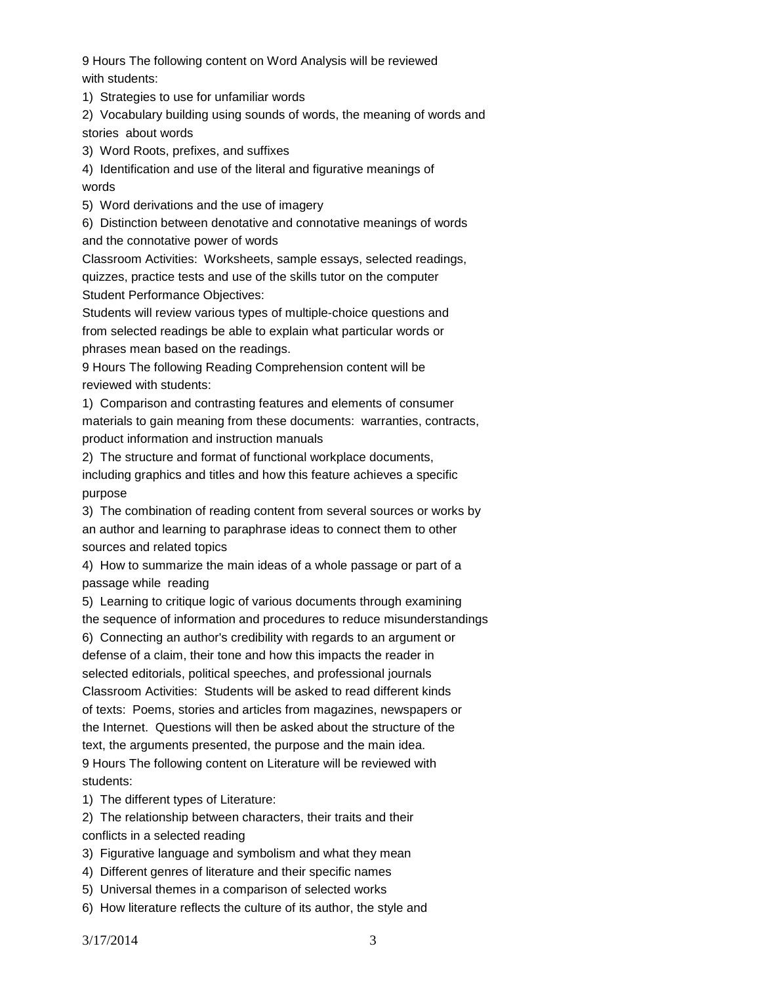9 Hours The following content on Word Analysis will be reviewed with students:

1) Strategies to use for unfamiliar words

2) Vocabulary building using sounds of words, the meaning of words and stories about words

3) Word Roots, prefixes, and suffixes

4) Identification and use of the literal and figurative meanings of words

5) Word derivations and the use of imagery

6) Distinction between denotative and connotative meanings of words and the connotative power of words

Classroom Activities: Worksheets, sample essays, selected readings, quizzes, practice tests and use of the skills tutor on the computer Student Performance Objectives:

Students will review various types of multiple-choice questions and from selected readings be able to explain what particular words or phrases mean based on the readings.

9 Hours The following Reading Comprehension content will be reviewed with students:

1) Comparison and contrasting features and elements of consumer materials to gain meaning from these documents: warranties, contracts, product information and instruction manuals

2) The structure and format of functional workplace documents, including graphics and titles and how this feature achieves a specific purpose

3) The combination of reading content from several sources or works by an author and learning to paraphrase ideas to connect them to other sources and related topics

4) How to summarize the main ideas of a whole passage or part of a passage while reading

5) Learning to critique logic of various documents through examining the sequence of information and procedures to reduce misunderstandings

6) Connecting an author's credibility with regards to an argument or defense of a claim, their tone and how this impacts the reader in selected editorials, political speeches, and professional journals Classroom Activities: Students will be asked to read different kinds of texts: Poems, stories and articles from magazines, newspapers or the Internet. Questions will then be asked about the structure of the text, the arguments presented, the purpose and the main idea. 9 Hours The following content on Literature will be reviewed with students:

1) The different types of Literature:

2) The relationship between characters, their traits and their conflicts in a selected reading

3) Figurative language and symbolism and what they mean

4) Different genres of literature and their specific names

5) Universal themes in a comparison of selected works

6) How literature reflects the culture of its author, the style and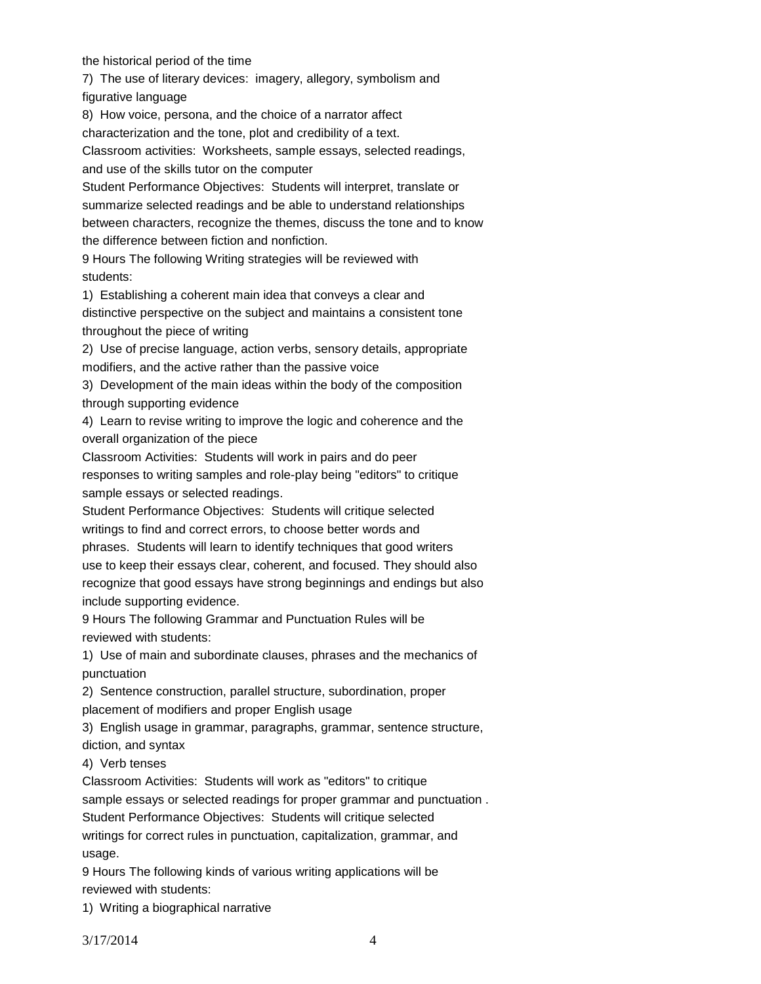the historical period of the time

7) The use of literary devices: imagery, allegory, symbolism and figurative language

8) How voice, persona, and the choice of a narrator affect

characterization and the tone, plot and credibility of a text.

Classroom activities: Worksheets, sample essays, selected readings, and use of the skills tutor on the computer

Student Performance Objectives: Students will interpret, translate or summarize selected readings and be able to understand relationships between characters, recognize the themes, discuss the tone and to know the difference between fiction and nonfiction.

9 Hours The following Writing strategies will be reviewed with students:

1) Establishing a coherent main idea that conveys a clear and distinctive perspective on the subject and maintains a consistent tone throughout the piece of writing

2) Use of precise language, action verbs, sensory details, appropriate modifiers, and the active rather than the passive voice

3) Development of the main ideas within the body of the composition through supporting evidence

4) Learn to revise writing to improve the logic and coherence and the overall organization of the piece

Classroom Activities: Students will work in pairs and do peer responses to writing samples and role-play being "editors" to critique sample essays or selected readings.

Student Performance Objectives: Students will critique selected writings to find and correct errors, to choose better words and phrases. Students will learn to identify techniques that good writers use to keep their essays clear, coherent, and focused. They should also recognize that good essays have strong beginnings and endings but also include supporting evidence.

9 Hours The following Grammar and Punctuation Rules will be reviewed with students:

1) Use of main and subordinate clauses, phrases and the mechanics of punctuation

2) Sentence construction, parallel structure, subordination, proper placement of modifiers and proper English usage

3) English usage in grammar, paragraphs, grammar, sentence structure, diction, and syntax

4) Verb tenses

Classroom Activities: Students will work as "editors" to critique sample essays or selected readings for proper grammar and punctuation . Student Performance Objectives: Students will critique selected writings for correct rules in punctuation, capitalization, grammar, and usage.

9 Hours The following kinds of various writing applications will be reviewed with students:

1) Writing a biographical narrative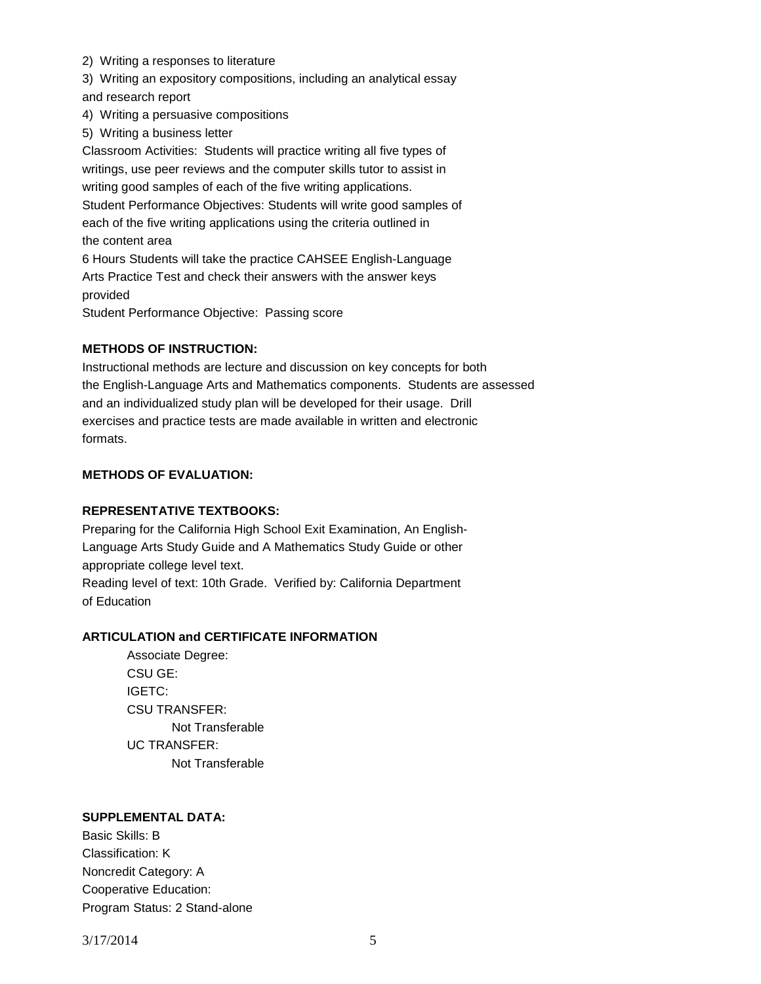- 2) Writing a responses to literature
- 3) Writing an expository compositions, including an analytical essay

and research report

- 4) Writing a persuasive compositions
- 5) Writing a business letter

Classroom Activities: Students will practice writing all five types of writings, use peer reviews and the computer skills tutor to assist in writing good samples of each of the five writing applications. Student Performance Objectives: Students will write good samples of each of the five writing applications using the criteria outlined in the content area 6 Hours Students will take the practice CAHSEE English-Language

Arts Practice Test and check their answers with the answer keys provided

Student Performance Objective: Passing score

## **METHODS OF INSTRUCTION:**

Instructional methods are lecture and discussion on key concepts for both the English-Language Arts and Mathematics components. Students are assessed and an individualized study plan will be developed for their usage. Drill exercises and practice tests are made available in written and electronic formats.

## **METHODS OF EVALUATION:**

### **REPRESENTATIVE TEXTBOOKS:**

Preparing for the California High School Exit Examination, An English-Language Arts Study Guide and A Mathematics Study Guide or other appropriate college level text.

Reading level of text: 10th Grade. Verified by: California Department of Education

### **ARTICULATION and CERTIFICATE INFORMATION**

Associate Degree: CSU GE: IGETC: CSU TRANSFER: Not Transferable UC TRANSFER: Not Transferable

### **SUPPLEMENTAL DATA:**

Basic Skills: B Classification: K Noncredit Category: A Cooperative Education: Program Status: 2 Stand-alone